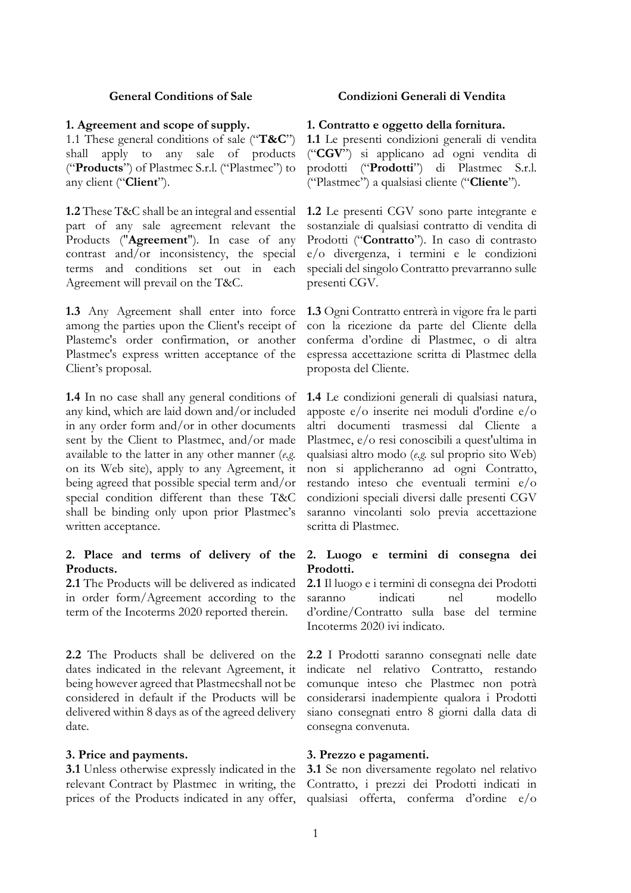### **1. Agreement and scope of supply. 1. Contratto e oggetto della fornitura.**

1.1 These general conditions of sale ("**T&C**") shall apply to any sale of products ("**Products**") of Plastmec S.r.l. ("Plastmec") to any client ("**Client**").

**1.2** These T&C shall be an integral and essential part of any sale agreement relevant the Products ("**Agreement**"). In case of any contrast and/or inconsistency, the special terms and conditions set out in each Agreement will prevail on the T&C.

**1.3** Any Agreement shall enter into force among the parties upon the Client's receipt of Plastemc's order confirmation, or another Plastmec's express written acceptance of the Client's proposal.

**1.4** In no case shall any general conditions of any kind, which are laid down and/or included in any order form and/or in other documents sent by the Client to Plastmec, and/or made available to the latter in any other manner (*e.g.* on its Web site), apply to any Agreement, it being agreed that possible special term and/or special condition different than these T&C shall be binding only upon prior Plastmec's written acceptance.

## **2. Place and terms of delivery of the Products.**

**2.1** The Products will be delivered as indicated in order form/Agreement according to the term of the Incoterms 2020 reported therein.

**2.2** The Products shall be delivered on the dates indicated in the relevant Agreement, it being however agreed that Plastmecshall not be considered in default if the Products will be delivered within 8 days as of the agreed delivery date.

### **3. Price and payments. 3. Prezzo e pagamenti.**

**3.1** Unless otherwise expressly indicated in the relevant Contract by Plastmec in writing, the prices of the Products indicated in any offer,

### **General Conditions of Sale Condizioni Generali di Vendita**

**1.1** Le presenti condizioni generali di vendita ("**CGV**") si applicano ad ogni vendita di prodotti ("**Prodotti**") di Plastmec S.r.l. ("Plastmec") a qualsiasi cliente ("**Cliente**").

**1.2** Le presenti CGV sono parte integrante e sostanziale di qualsiasi contratto di vendita di Prodotti ("**Contratto**"). In caso di contrasto e/o divergenza, i termini e le condizioni speciali del singolo Contratto prevarranno sulle presenti CGV.

**1.3** Ogni Contratto entrerà in vigore fra le parti con la ricezione da parte del Cliente della conferma d'ordine di Plastmec, o di altra espressa accettazione scritta di Plastmec della proposta del Cliente.

**1.4** Le condizioni generali di qualsiasi natura, apposte e/o inserite nei moduli d'ordine e/o altri documenti trasmessi dal Cliente a Plastmec, e/o resi conoscibili a quest'ultima in qualsiasi altro modo (*e.g.* sul proprio sito Web) non si applicheranno ad ogni Contratto, restando inteso che eventuali termini e/o condizioni speciali diversi dalle presenti CGV saranno vincolanti solo previa accettazione scritta di Plastmec.

### **2. Luogo e termini di consegna dei Prodotti.**

**2.1** Il luogo e i termini di consegna dei Prodotti saranno indicati nel modello d'ordine/Contratto sulla base del termine Incoterms 2020 ivi indicato.

**2.2** I Prodotti saranno consegnati nelle date indicate nel relativo Contratto, restando comunque inteso che Plastmec non potrà considerarsi inadempiente qualora i Prodotti siano consegnati entro 8 giorni dalla data di consegna convenuta.

**3.1** Se non diversamente regolato nel relativo Contratto, i prezzi dei Prodotti indicati in qualsiasi offerta, conferma d'ordine e/o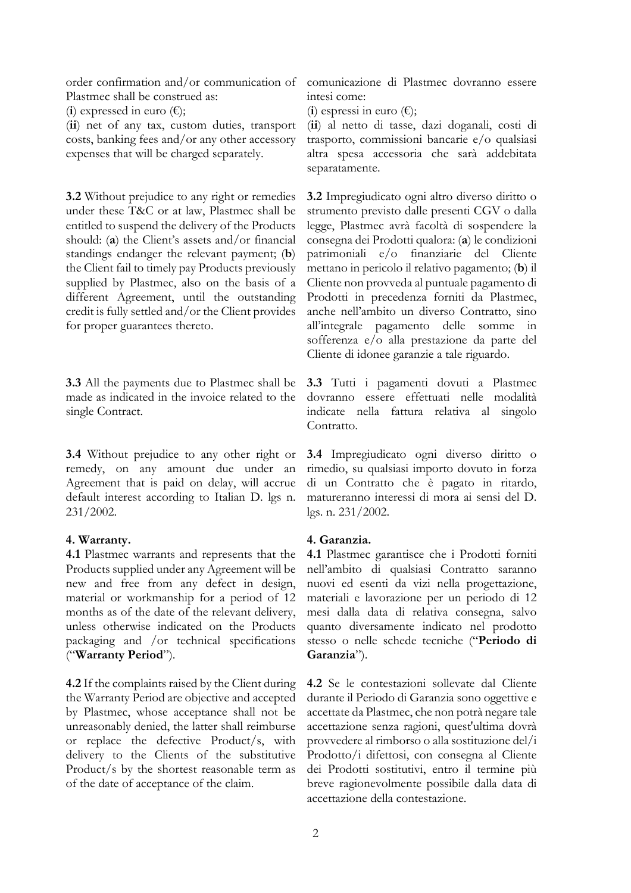order confirmation and/or communication of Plastmec shall be construed as:

(**i**) expressed in euro  $(\epsilon)$ ;

(**ii**) net of any tax, custom duties, transport costs, banking fees and/or any other accessory expenses that will be charged separately.

**3.2** Without prejudice to any right or remedies under these T&C or at law, Plastmec shall be entitled to suspend the delivery of the Products should: (**a**) the Client's assets and/or financial standings endanger the relevant payment; (**b**) the Client fail to timely pay Products previously supplied by Plastmec, also on the basis of a different Agreement, until the outstanding credit is fully settled and/or the Client provides for proper guarantees thereto.

**3.3** All the payments due to Plastmec shall be made as indicated in the invoice related to the single Contract.

**3.4** Without prejudice to any other right or remedy, on any amount due under an Agreement that is paid on delay, will accrue default interest according to Italian D. lgs n. 231/2002.

# **4. Warranty. 4. Garanzia.**

**4.1** Plastmec warrants and represents that the Products supplied under any Agreement will be new and free from any defect in design, material or workmanship for a period of 12 months as of the date of the relevant delivery, unless otherwise indicated on the Products packaging and /or technical specifications ("**Warranty Period**").

**4.2** If the complaints raised by the Client during the Warranty Period are objective and accepted by Plastmec, whose acceptance shall not be unreasonably denied, the latter shall reimburse or replace the defective Product/s, with delivery to the Clients of the substitutive Product/s by the shortest reasonable term as of the date of acceptance of the claim.

comunicazione di Plastmec dovranno essere intesi come:

(**i**) espressi in euro  $(\epsilon)$ ;

(**ii**) al netto di tasse, dazi doganali, costi di trasporto, commissioni bancarie e/o qualsiasi altra spesa accessoria che sarà addebitata separatamente.

**3.2** Impregiudicato ogni altro diverso diritto o strumento previsto dalle presenti CGV o dalla legge, Plastmec avrà facoltà di sospendere la consegna dei Prodotti qualora: (**a**) le condizioni patrimoniali e/o finanziarie del Cliente mettano in pericolo il relativo pagamento; (**b**) il Cliente non provveda al puntuale pagamento di Prodotti in precedenza forniti da Plastmec, anche nell'ambito un diverso Contratto, sino all'integrale pagamento delle somme in sofferenza e/o alla prestazione da parte del Cliente di idonee garanzie a tale riguardo.

**3.3** Tutti i pagamenti dovuti a Plastmec dovranno essere effettuati nelle modalità indicate nella fattura relativa al singolo Contratto.

**3.4** Impregiudicato ogni diverso diritto o rimedio, su qualsiasi importo dovuto in forza di un Contratto che è pagato in ritardo, matureranno interessi di mora ai sensi del D. lgs. n. 231/2002.

**4.1** Plastmec garantisce che i Prodotti forniti nell'ambito di qualsiasi Contratto saranno nuovi ed esenti da vizi nella progettazione, materiali e lavorazione per un periodo di 12 mesi dalla data di relativa consegna, salvo quanto diversamente indicato nel prodotto stesso o nelle schede tecniche ("**Periodo di Garanzia**").

**4.2** Se le contestazioni sollevate dal Cliente durante il Periodo di Garanzia sono oggettive e accettate da Plastmec, che non potrà negare tale accettazione senza ragioni, quest'ultima dovrà provvedere al rimborso o alla sostituzione del/i Prodotto/i difettosi, con consegna al Cliente dei Prodotti sostitutivi, entro il termine più breve ragionevolmente possibile dalla data di accettazione della contestazione.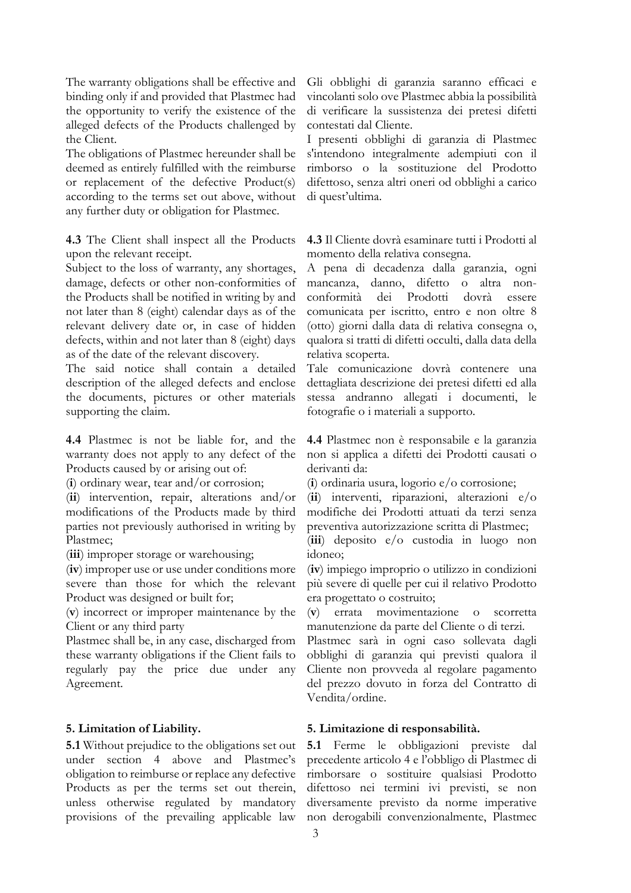The warranty obligations shall be effective and binding only if and provided that Plastmec had the opportunity to verify the existence of the alleged defects of the Products challenged by the Client.

The obligations of Plastmec hereunder shall be deemed as entirely fulfilled with the reimburse or replacement of the defective Product(s) according to the terms set out above, without any further duty or obligation for Plastmec.

**4.3** The Client shall inspect all the Products upon the relevant receipt.

Subject to the loss of warranty, any shortages, damage, defects or other non-conformities of the Products shall be notified in writing by and not later than 8 (eight) calendar days as of the relevant delivery date or, in case of hidden defects, within and not later than 8 (eight) days as of the date of the relevant discovery.

The said notice shall contain a detailed description of the alleged defects and enclose the documents, pictures or other materials supporting the claim.

**4.4** Plastmec is not be liable for, and the warranty does not apply to any defect of the Products caused by or arising out of:

(**i**) ordinary wear, tear and/or corrosion;

(**ii**) intervention, repair, alterations and/or modifications of the Products made by third parties not previously authorised in writing by Plastmec;

(**iii**) improper storage or warehousing;

(**iv**) improper use or use under conditions more severe than those for which the relevant Product was designed or built for;

(**v**) incorrect or improper maintenance by the Client or any third party

Plastmec shall be, in any case, discharged from these warranty obligations if the Client fails to regularly pay the price due under any Agreement.

**5.1** Without prejudice to the obligations set out under section 4 above and Plastmec's obligation to reimburse or replace any defective Products as per the terms set out therein, unless otherwise regulated by mandatory provisions of the prevailing applicable law

Gli obblighi di garanzia saranno efficaci e vincolanti solo ove Plastmec abbia la possibilità di verificare la sussistenza dei pretesi difetti contestati dal Cliente.

I presenti obblighi di garanzia di Plastmec s'intendono integralmente adempiuti con il rimborso o la sostituzione del Prodotto difettoso, senza altri oneri od obblighi a carico di quest'ultima.

**4.3** Il Cliente dovrà esaminare tutti i Prodotti al momento della relativa consegna.

A pena di decadenza dalla garanzia, ogni mancanza, danno, difetto o altra nonconformità dei Prodotti dovrà essere comunicata per iscritto, entro e non oltre 8 (otto) giorni dalla data di relativa consegna o, qualora si tratti di difetti occulti, dalla data della relativa scoperta.

Tale comunicazione dovrà contenere una dettagliata descrizione dei pretesi difetti ed alla stessa andranno allegati i documenti, le fotografie o i materiali a supporto.

**4.4** Plastmec non è responsabile e la garanzia non si applica a difetti dei Prodotti causati o derivanti da:

(**i**) ordinaria usura, logorio e/o corrosione;

(**ii**) interventi, riparazioni, alterazioni e/o modifiche dei Prodotti attuati da terzi senza preventiva autorizzazione scritta di Plastmec;

(**iii**) deposito e/o custodia in luogo non idoneo;

(**iv**) impiego improprio o utilizzo in condizioni più severe di quelle per cui il relativo Prodotto era progettato o costruito;

(**v**) errata movimentazione o scorretta manutenzione da parte del Cliente o di terzi.

Plastmec sarà in ogni caso sollevata dagli obblighi di garanzia qui previsti qualora il Cliente non provveda al regolare pagamento del prezzo dovuto in forza del Contratto di Vendita/ordine.

## **5. Limitation of Liability. 5. Limitazione di responsabilità.**

**5.1** Ferme le obbligazioni previste dal precedente articolo 4 e l'obbligo di Plastmec di rimborsare o sostituire qualsiasi Prodotto difettoso nei termini ivi previsti, se non diversamente previsto da norme imperative non derogabili convenzionalmente, Plastmec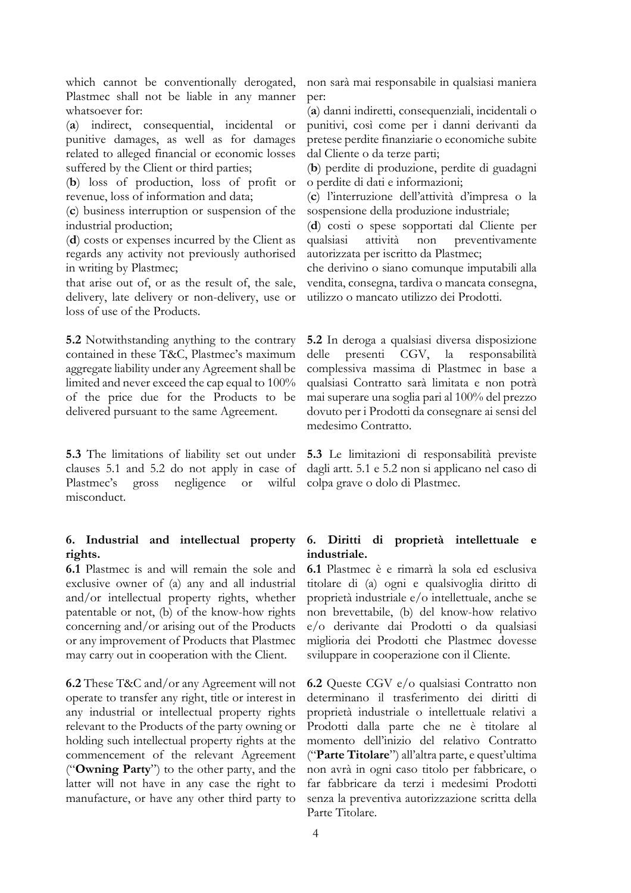which cannot be conventionally derogated, Plastmec shall not be liable in any manner whatsoever for:

(**a**) indirect, consequential, incidental or punitive damages, as well as for damages related to alleged financial or economic losses suffered by the Client or third parties;

(**b**) loss of production, loss of profit or revenue, loss of information and data;

(**c**) business interruption or suspension of the industrial production;

(**d**) costs or expenses incurred by the Client as regards any activity not previously authorised in writing by Plastmec;

that arise out of, or as the result of, the sale, delivery, late delivery or non-delivery, use or loss of use of the Products.

**5.2** Notwithstanding anything to the contrary contained in these T&C, Plastmec's maximum aggregate liability under any Agreement shall be limited and never exceed the cap equal to 100% of the price due for the Products to be delivered pursuant to the same Agreement.

**5.3** The limitations of liability set out under clauses 5.1 and 5.2 do not apply in case of Plastmec's gross negligence or wilful misconduct.

# **6. Industrial and intellectual property rights.**

**6.1** Plastmec is and will remain the sole and exclusive owner of (a) any and all industrial and/or intellectual property rights, whether patentable or not, (b) of the know-how rights concerning and/or arising out of the Products or any improvement of Products that Plastmec may carry out in cooperation with the Client.

**6.2** These T&C and/or any Agreement will not operate to transfer any right, title or interest in any industrial or intellectual property rights relevant to the Products of the party owning or holding such intellectual property rights at the commencement of the relevant Agreement ("**Owning Party**") to the other party, and the latter will not have in any case the right to manufacture, or have any other third party to

non sarà mai responsabile in qualsiasi maniera per:

(**a**) danni indiretti, consequenziali, incidentali o punitivi, così come per i danni derivanti da pretese perdite finanziarie o economiche subite dal Cliente o da terze parti;

(**b**) perdite di produzione, perdite di guadagni o perdite di dati e informazioni;

(**c**) l'interruzione dell'attività d'impresa o la sospensione della produzione industriale;

(**d**) costi o spese sopportati dal Cliente per qualsiasi attività non preventivamente autorizzata per iscritto da Plastmec;

che derivino o siano comunque imputabili alla vendita, consegna, tardiva o mancata consegna, utilizzo o mancato utilizzo dei Prodotti.

**5.2** In deroga a qualsiasi diversa disposizione delle presenti CGV, la responsabilità complessiva massima di Plastmec in base a qualsiasi Contratto sarà limitata e non potrà mai superare una soglia pari al 100% del prezzo dovuto per i Prodotti da consegnare ai sensi del medesimo Contratto.

**5.3** Le limitazioni di responsabilità previste dagli artt. 5.1 e 5.2 non si applicano nel caso di colpa grave o dolo di Plastmec.

# **6. Diritti di proprietà intellettuale e industriale.**

**6.1** Plastmec è e rimarrà la sola ed esclusiva titolare di (a) ogni e qualsivoglia diritto di proprietà industriale e/o intellettuale, anche se non brevettabile, (b) del know-how relativo e/o derivante dai Prodotti o da qualsiasi miglioria dei Prodotti che Plastmec dovesse sviluppare in cooperazione con il Cliente.

**6.2** Queste CGV e/o qualsiasi Contratto non determinano il trasferimento dei diritti di proprietà industriale o intellettuale relativi a Prodotti dalla parte che ne è titolare al momento dell'inizio del relativo Contratto ("**Parte Titolare**") all'altra parte, e quest'ultima non avrà in ogni caso titolo per fabbricare, o far fabbricare da terzi i medesimi Prodotti senza la preventiva autorizzazione scritta della Parte Titolare.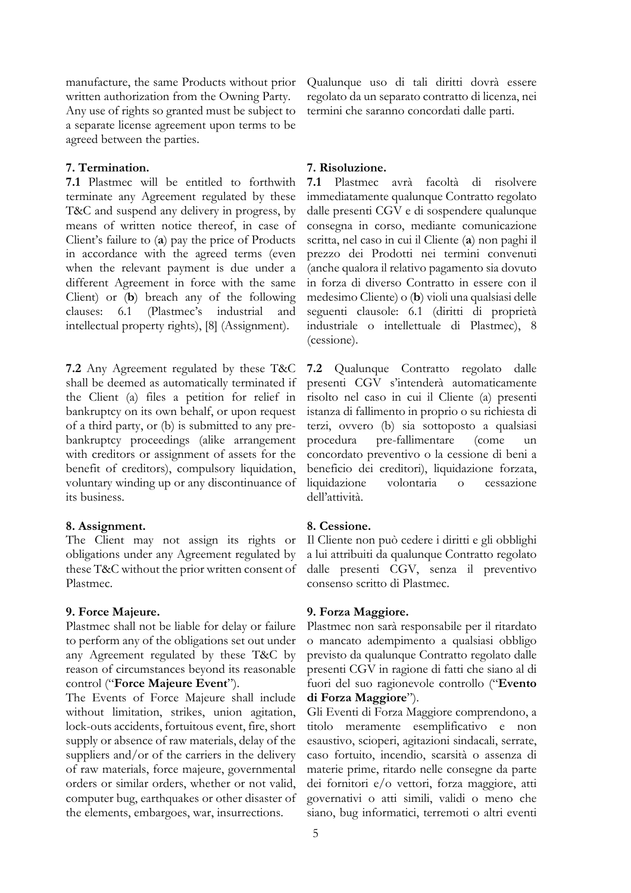manufacture, the same Products without prior written authorization from the Owning Party. Any use of rights so granted must be subject to a separate license agreement upon terms to be agreed between the parties.

## **7. Termination. 7. Risoluzione.**

**7.1** Plastmec will be entitled to forthwith terminate any Agreement regulated by these T&C and suspend any delivery in progress, by means of written notice thereof, in case of Client's failure to (**a**) pay the price of Products in accordance with the agreed terms (even when the relevant payment is due under a different Agreement in force with the same Client) or (**b**) breach any of the following clauses: 6.1 (Plastmec's industrial and intellectual property rights), [8] (Assignment).

**7.2** Any Agreement regulated by these T&C shall be deemed as automatically terminated if the Client (a) files a petition for relief in bankruptcy on its own behalf, or upon request of a third party, or (b) is submitted to any prebankruptcy proceedings (alike arrangement with creditors or assignment of assets for the benefit of creditors), compulsory liquidation, voluntary winding up or any discontinuance of its business.

### **8. Assignment. 8. Cessione.**

The Client may not assign its rights or obligations under any Agreement regulated by these T&C without the prior written consent of Plastmec.

Plastmec shall not be liable for delay or failure to perform any of the obligations set out under any Agreement regulated by these T&C by reason of circumstances beyond its reasonable control ("**Force Majeure Event**").

The Events of Force Majeure shall include without limitation, strikes, union agitation, lock-outs accidents, fortuitous event, fire, short supply or absence of raw materials, delay of the suppliers and/or of the carriers in the delivery of raw materials, force majeure, governmental orders or similar orders, whether or not valid, computer bug, earthquakes or other disaster of the elements, embargoes, war, insurrections.

Qualunque uso di tali diritti dovrà essere regolato da un separato contratto di licenza, nei termini che saranno concordati dalle parti.

**7.1** Plastmec avrà facoltà di risolvere immediatamente qualunque Contratto regolato dalle presenti CGV e di sospendere qualunque consegna in corso, mediante comunicazione scritta, nel caso in cui il Cliente (**a**) non paghi il prezzo dei Prodotti nei termini convenuti (anche qualora il relativo pagamento sia dovuto in forza di diverso Contratto in essere con il medesimo Cliente) o (**b**) violi una qualsiasi delle seguenti clausole: 6.1 (diritti di proprietà industriale o intellettuale di Plastmec), 8 (cessione).

**7.2** Qualunque Contratto regolato dalle presenti CGV s'intenderà automaticamente risolto nel caso in cui il Cliente (a) presenti istanza di fallimento in proprio o su richiesta di terzi, ovvero (b) sia sottoposto a qualsiasi procedura pre-fallimentare (come un concordato preventivo o la cessione di beni a beneficio dei creditori), liquidazione forzata, liquidazione volontaria o cessazione dell'attività.

Il Cliente non può cedere i diritti e gli obblighi a lui attribuiti da qualunque Contratto regolato dalle presenti CGV, senza il preventivo consenso scritto di Plastmec.

### **9. Force Majeure. 9. Forza Maggiore.**

Plastmec non sarà responsabile per il ritardato o mancato adempimento a qualsiasi obbligo previsto da qualunque Contratto regolato dalle presenti CGV in ragione di fatti che siano al di fuori del suo ragionevole controllo ("**Evento di Forza Maggiore**").

Gli Eventi di Forza Maggiore comprendono, a titolo meramente esemplificativo e non esaustivo, scioperi, agitazioni sindacali, serrate, caso fortuito, incendio, scarsità o assenza di materie prime, ritardo nelle consegne da parte dei fornitori e/o vettori, forza maggiore, atti governativi o atti simili, validi o meno che siano, bug informatici, terremoti o altri eventi